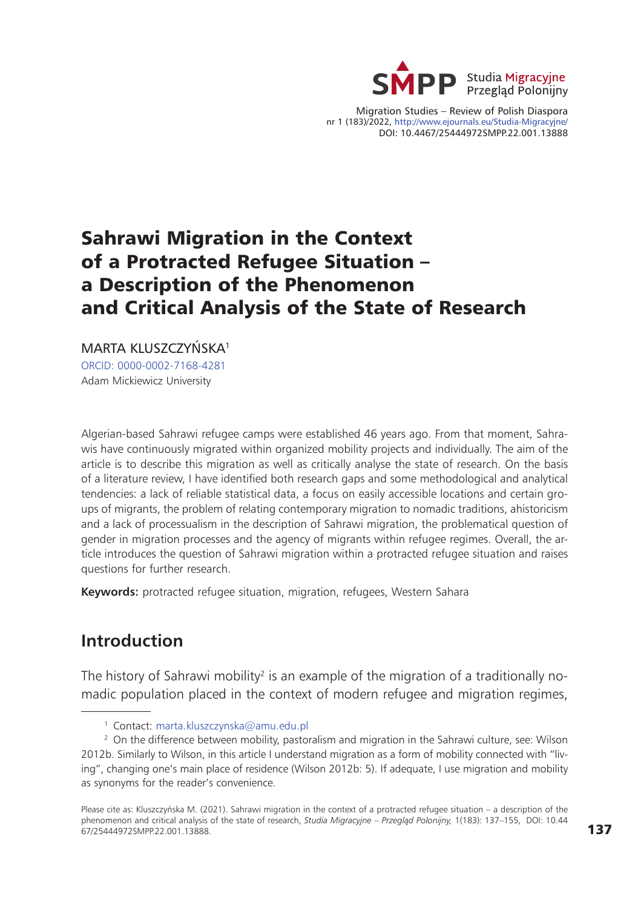

Migration Studies – Review of Polish Diaspora nr 1 (183)/2022, <http://www.ejournals.eu/Studia-Migracyjne/> DOI: 10.4467/25444972SMPP.22.001.13888

# Sahrawi Migration in the Context of a Protracted Refugee Situation – a Description of the Phenomenon and Critical Analysis of the State of Research

MARTA KLUSZCZYŃSKA<sup>1</sup>

[ORCID: 0000-0002-7168-4281](https://orcid.org/0000-0002-7168-4281) Adam Mickiewicz University

Algerian-based Sahrawi refugee camps were established 46 years ago. From that moment, Sahrawis have continuously migrated within organized mobility projects and individually. The aim of the article is to describe this migration as well as critically analyse the state of research. On the basis of a literature review, I have identified both research gaps and some methodological and analytical tendencies: a lack of reliable statistical data, a focus on easily accessible locations and certain groups of migrants, the problem of relating contemporary migration to nomadic traditions, ahistoricism and a lack of processualism in the description of Sahrawi migration, the problematical question of gender in migration processes and the agency of migrants within refugee regimes. Overall, the article introduces the question of Sahrawi migration within a protracted refugee situation and raises questions for further research.

**Keywords:** protracted refugee situation, migration, refugees, Western Sahara

# **Introduction**

The history of Sahrawi mobility<sup>2</sup> is an example of the migration of a traditionally nomadic population placed in the context of modern refugee and migration regimes,

<sup>1</sup> Contact: [marta.kluszczynska@amu.edu.pl](mailto:marta.kluszczynska%40amu.edu.pl?subject=)

<sup>&</sup>lt;sup>2</sup> On the difference between mobility, pastoralism and migration in the Sahrawi culture, see: Wilson 2012b. Similarly to Wilson, in this article I understand migration as a form of mobility connected with "living", changing one's main place of residence (Wilson 2012b: 5). If adequate, I use migration and mobility as synonyms for the reader's convenience.

Please cite as: Kluszczyńska M. (2021). Sahrawi migration in the context of a protracted refugee situation – a description of the phenomenon and critical analysis of the state of research, *Studia Migracyjne – Przegląd Polonijny,* 1(183): 137–155, DOI: 10.44 67/25444972SMPP.22.001.13888.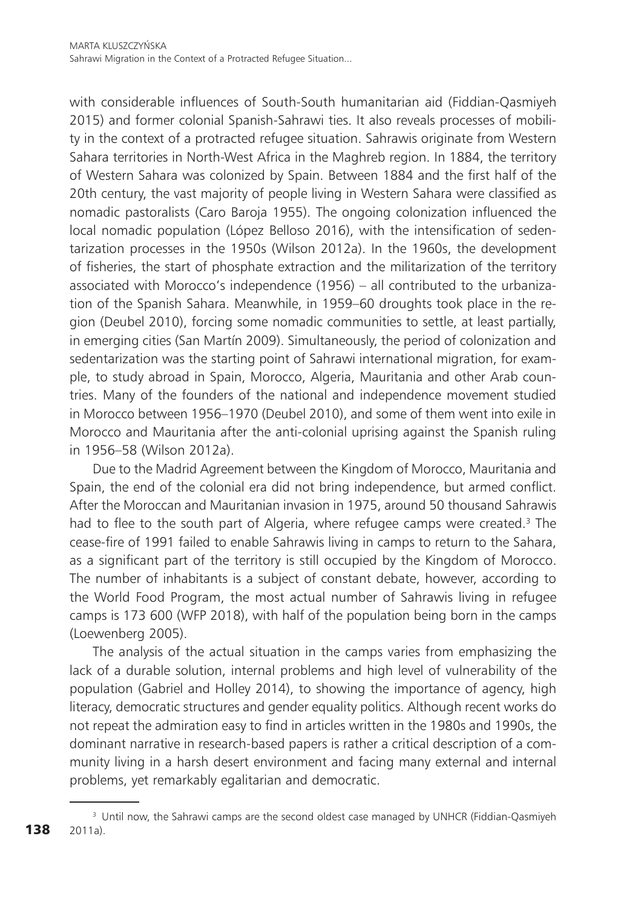with considerable influences of South-South humanitarian aid (Fiddian-Qasmiyeh 2015) and former colonial Spanish-Sahrawi ties. It also reveals processes of mobility in the context of a protracted refugee situation. Sahrawis originate from Western Sahara territories in North-West Africa in the Maghreb region. In 1884, the territory of Western Sahara was colonized by Spain. Between 1884 and the first half of the 20th century, the vast majority of people living in Western Sahara were classified as nomadic pastoralists (Caro Baroja 1955). The ongoing colonization influenced the local nomadic population (López Belloso 2016), with the intensification of sedentarization processes in the 1950s (Wilson 2012a). In the 1960s, the development of fisheries, the start of phosphate extraction and the militarization of the territory associated with Morocco's independence (1956) – all contributed to the urbanization of the Spanish Sahara. Meanwhile, in 1959–60 droughts took place in the region (Deubel 2010), forcing some nomadic communities to settle, at least partially, in emerging cities (San Martín 2009). Simultaneously, the period of colonization and sedentarization was the starting point of Sahrawi international migration, for example, to study abroad in Spain, Morocco, Algeria, Mauritania and other Arab countries. Many of the founders of the national and independence movement studied in Morocco between 1956–1970 (Deubel 2010), and some of them went into exile in Morocco and Mauritania after the anti-colonial uprising against the Spanish ruling in 1956–58 (Wilson 2012a).

Due to the Madrid Agreement between the Kingdom of Morocco, Mauritania and Spain, the end of the colonial era did not bring independence, but armed conflict. After the Moroccan and Mauritanian invasion in 1975, around 50 thousand Sahrawis had to flee to the south part of Algeria, where refugee camps were created.<sup>3</sup> The cease-fire of 1991 failed to enable Sahrawis living in camps to return to the Sahara, as a significant part of the territory is still occupied by the Kingdom of Morocco. The number of inhabitants is a subject of constant debate, however, according to the World Food Program, the most actual number of Sahrawis living in refugee camps is 173 600 (WFP 2018), with half of the population being born in the camps (Loewenberg 2005).

The analysis of the actual situation in the camps varies from emphasizing the lack of a durable solution, internal problems and high level of vulnerability of the population (Gabriel and Holley 2014), to showing the importance of agency, high literacy, democratic structures and gender equality politics. Although recent works do not repeat the admiration easy to find in articles written in the 1980s and 1990s, the dominant narrative in research-based papers is rather a critical description of a community living in a harsh desert environment and facing many external and internal problems, yet remarkably egalitarian and democratic.

<sup>&</sup>lt;sup>3</sup> Until now, the Sahrawi camps are the second oldest case managed by UNHCR (Fiddian-Qasmiyeh 2011a).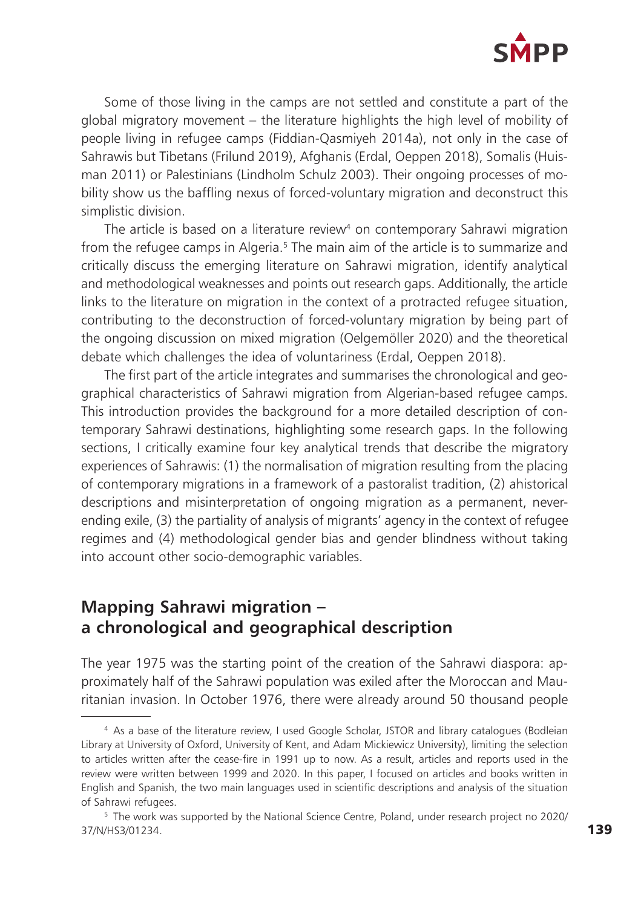

Some of those living in the camps are not settled and constitute a part of the global migratory movement – the literature highlights the high level of mobility of people living in refugee camps (Fiddian-Qasmiyeh 2014a), not only in the case of Sahrawis but Tibetans (Frilund 2019), Afghanis (Erdal, Oeppen 2018), Somalis (Huisman 2011) or Palestinians (Lindholm Schulz 2003). Their ongoing processes of mobility show us the baffling nexus of forced-voluntary migration and deconstruct this simplistic division.

The article is based on a literature review $\!4$  on contemporary Sahrawi migration from the refugee camps in Algeria.<sup>5</sup> The main aim of the article is to summarize and critically discuss the emerging literature on Sahrawi migration, identify analytical and methodological weaknesses and points out research gaps. Additionally, the article links to the literature on migration in the context of a protracted refugee situation, contributing to the deconstruction of forced-voluntary migration by being part of the ongoing discussion on mixed migration (Oelgemöller 2020) and the theoretical debate which challenges the idea of voluntariness (Erdal, Oeppen 2018).

The first part of the article integrates and summarises the chronological and geographical characteristics of Sahrawi migration from Algerian-based refugee camps. This introduction provides the background for a more detailed description of contemporary Sahrawi destinations, highlighting some research gaps. In the following sections, I critically examine four key analytical trends that describe the migratory experiences of Sahrawis: (1) the normalisation of migration resulting from the placing of contemporary migrations in a framework of a pastoralist tradition, (2) ahistorical descriptions and misinterpretation of ongoing migration as a permanent, neverending exile, (3) the partiality of analysis of migrants' agency in the context of refugee regimes and (4) methodological gender bias and gender blindness without taking into account other socio-demographic variables.

## **Mapping Sahrawi migration – a chronological and geographical description**

The year 1975 was the starting point of the creation of the Sahrawi diaspora: approximately half of the Sahrawi population was exiled after the Moroccan and Mauritanian invasion. In October 1976, there were already around 50 thousand people

<sup>4</sup> As a base of the literature review, I used Google Scholar, JSTOR and library catalogues (Bodleian Library at University of Oxford, University of Kent, and Adam Mickiewicz University), limiting the selection to articles written after the cease-fire in 1991 up to now. As a result, articles and reports used in the review were written between 1999 and 2020. In this paper, I focused on articles and books written in English and Spanish, the two main languages used in scientific descriptions and analysis of the situation of Sahrawi refugees.

<sup>5</sup> The work was supported by the National Science Centre, Poland, under research project no 2020/ 37/N/HS3/01234.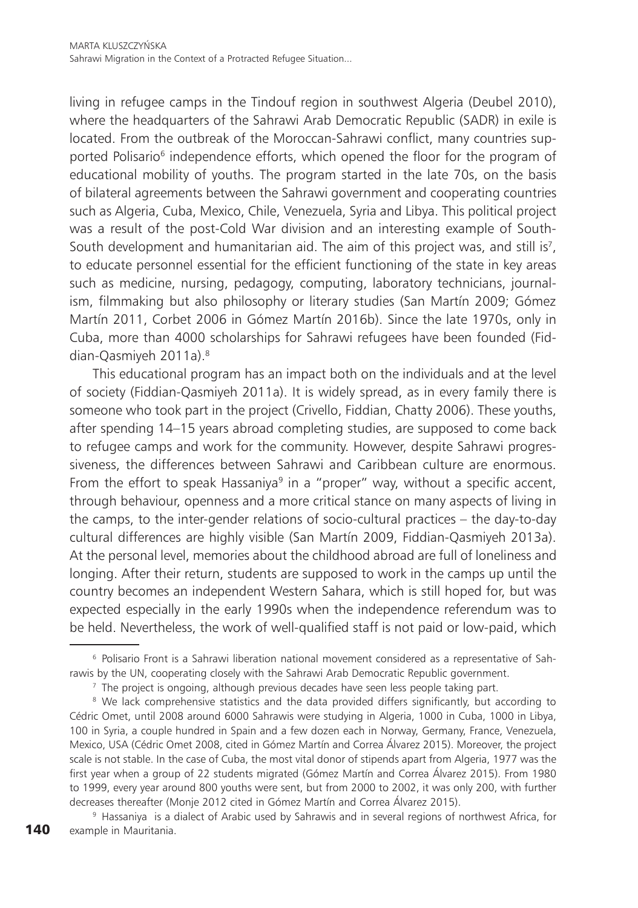living in refugee camps in the Tindouf region in southwest Algeria (Deubel 2010), where the headquarters of the Sahrawi Arab Democratic Republic (SADR) in exile is located. From the outbreak of the Moroccan-Sahrawi conflict, many countries supported Polisario<sup>6</sup> independence efforts, which opened the floor for the program of educational mobility of youths. The program started in the late 70s, on the basis of bilateral agreements between the Sahrawi government and cooperating countries such as Algeria, Cuba, Mexico, Chile, Venezuela, Syria and Libya. This political project was a result of the post-Cold War division and an interesting example of South-South development and humanitarian aid. The aim of this project was, and still is<sup>7</sup>, to educate personnel essential for the efficient functioning of the state in key areas such as medicine, nursing, pedagogy, computing, laboratory technicians, journalism, filmmaking but also philosophy or literary studies (San Martín 2009; Gómez Martín 2011, Corbet 2006 in Gómez Martín 2016b). Since the late 1970s, only in Cuba, more than 4000 scholarships for Sahrawi refugees have been founded (Fiddian-Qasmiyeh 2011a).<sup>8</sup>

This educational program has an impact both on the individuals and at the level of society (Fiddian-Qasmiyeh 2011a). It is widely spread, as in every family there is someone who took part in the project (Crivello, Fiddian, Chatty 2006). These youths, after spending 14–15 years abroad completing studies, are supposed to come back to refugee camps and work for the community. However, despite Sahrawi progressiveness, the differences between Sahrawi and Caribbean culture are enormous. From the effort to speak Hassaniya<sup>9</sup> in a "proper" way, without a specific accent, through behaviour, openness and a more critical stance on many aspects of living in the camps, to the inter-gender relations of socio-cultural practices – the day-to-day cultural differences are highly visible (San Martín 2009, Fiddian-Qasmiyeh 2013a). At the personal level, memories about the childhood abroad are full of loneliness and longing. After their return, students are supposed to work in the camps up until the country becomes an independent Western Sahara, which is still hoped for, but was expected especially in the early 1990s when the independence referendum was to be held. Nevertheless, the work of well-qualified staff is not paid or low-paid, which

<sup>6</sup> Polisario Front is a Sahrawi liberation national movement considered as a representative of Sahrawis by the UN, cooperating closely with the Sahrawi Arab Democratic Republic government.

<sup>&</sup>lt;sup>7</sup> The project is ongoing, although previous decades have seen less people taking part.

<sup>&</sup>lt;sup>8</sup> We lack comprehensive statistics and the data provided differs significantly, but according to Cédric Omet, until 2008 around 6000 Sahrawis were studying in Algeria, 1000 in Cuba, 1000 in Libya, 100 in Syria, a couple hundred in Spain and a few dozen each in Norway, Germany, France, Venezuela, Mexico, USA (Cédric Omet 2008, cited in Gómez Martín and Correa Álvarez 2015). Moreover, the project scale is not stable. In the case of Cuba, the most vital donor of stipends apart from Algeria, 1977 was the first year when a group of 22 students migrated (Gómez Martín and Correa Álvarez 2015). From 1980 to 1999, every year around 800 youths were sent, but from 2000 to 2002, it was only 200, with further decreases thereafter (Monje 2012 cited in Gómez Martín and Correa Álvarez 2015).

<sup>140</sup> <sup>9</sup> Hassaniya is a dialect of Arabic used by Sahrawis and in several regions of northwest Africa, for example in Mauritania.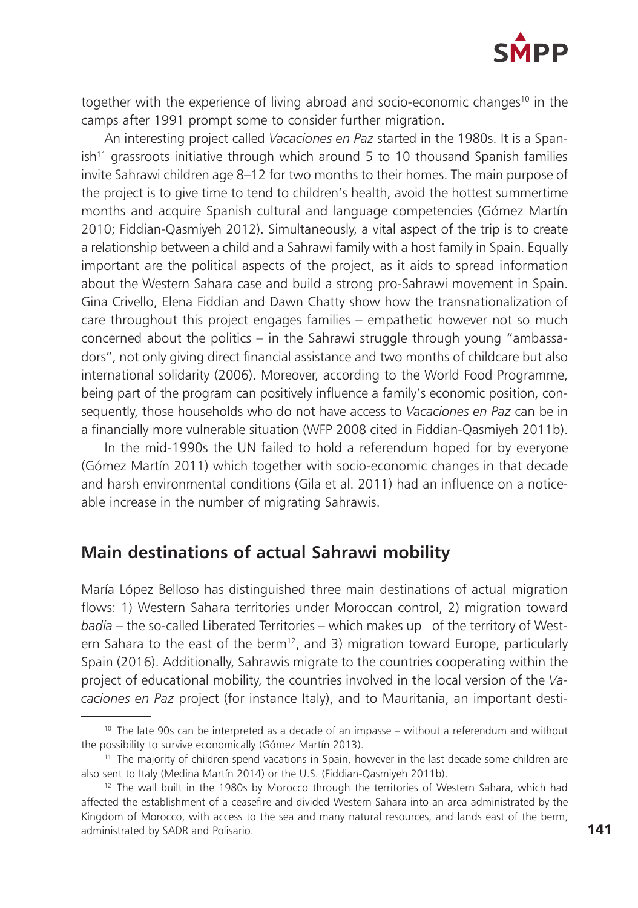

together with the experience of living abroad and socio-economic changes<sup>10</sup> in the camps after 1991 prompt some to consider further migration.

An interesting project called *Vacaciones en Paz* started in the 1980s. It is a Span $ish<sup>11</sup>$  grassroots initiative through which around 5 to 10 thousand Spanish families invite Sahrawi children age 8–12 for two months to their homes. The main purpose of the project is to give time to tend to children's health, avoid the hottest summertime months and acquire Spanish cultural and language competencies (Gómez Martín 2010; Fiddian-Qasmiyeh 2012). Simultaneously, a vital aspect of the trip is to create a relationship between a child and a Sahrawi family with a host family in Spain. Equally important are the political aspects of the project, as it aids to spread information about the Western Sahara case and build a strong pro-Sahrawi movement in Spain. Gina Crivello, Elena Fiddian and Dawn Chatty show how the transnationalization of care throughout this project engages families – empathetic however not so much concerned about the politics – in the Sahrawi struggle through young "ambassadors", not only giving direct financial assistance and two months of childcare but also international solidarity (2006). Moreover, according to the World Food Programme, being part of the program can positively influence a family's economic position, consequently, those households who do not have access to *Vacaciones en Paz* can be in a financially more vulnerable situation (WFP 2008 cited in Fiddian-Qasmiyeh 2011b).

In the mid-1990s the UN failed to hold a referendum hoped for by everyone (Gómez Martín 2011) which together with socio-economic changes in that decade and harsh environmental conditions (Gila et al. 2011) had an influence on a noticeable increase in the number of migrating Sahrawis.

## **Main destinations of actual Sahrawi mobility**

María López Belloso has distinguished three main destinations of actual migration flows: 1) Western Sahara territories under Moroccan control, 2) migration toward *badia* – the so-called Liberated Territories – which makes up of the territory of Western Sahara to the east of the berm<sup>12</sup>, and 3) migration toward Europe, particularly Spain (2016). Additionally, Sahrawis migrate to the countries cooperating within the project of educational mobility, the countries involved in the local version of the *Vacaciones en Paz* project (for instance Italy), and to Mauritania, an important desti-

 $10$  The late 90s can be interpreted as a decade of an impasse – without a referendum and without the possibility to survive economically (Gómez Martín 2013).

<sup>&</sup>lt;sup>11</sup> The majority of children spend vacations in Spain, however in the last decade some children are also sent to Italy (Medina Martín 2014) or the U.S. (Fiddian-Qasmiyeh 2011b).

<sup>&</sup>lt;sup>12</sup> The wall built in the 1980s by Morocco through the territories of Western Sahara, which had affected the establishment of a ceasefire and divided Western Sahara into an area administrated by the Kingdom of Morocco, with access to the sea and many natural resources, and lands east of the berm, administrated by SADR and Polisario.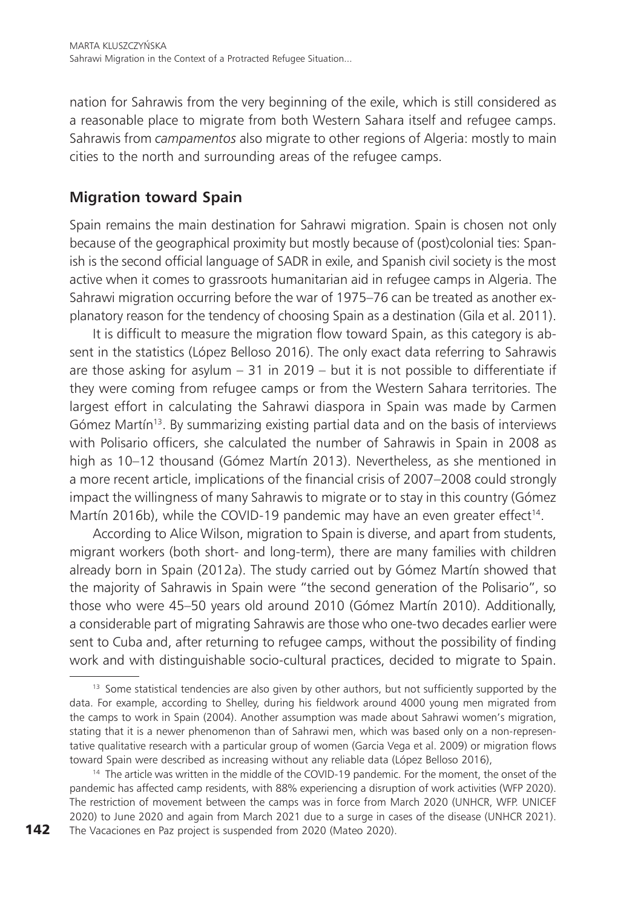nation for Sahrawis from the very beginning of the exile, which is still considered as a reasonable place to migrate from both Western Sahara itself and refugee camps. Sahrawis from *campamentos* also migrate to other regions of Algeria: mostly to main cities to the north and surrounding areas of the refugee camps.

## **Migration toward Spain**

Spain remains the main destination for Sahrawi migration. Spain is chosen not only because of the geographical proximity but mostly because of (post)colonial ties: Spanish is the second official language of SADR in exile, and Spanish civil society is the most active when it comes to grassroots humanitarian aid in refugee camps in Algeria. The Sahrawi migration occurring before the war of 1975–76 can be treated as another explanatory reason for the tendency of choosing Spain as a destination (Gila et al. 2011).

It is difficult to measure the migration flow toward Spain, as this category is absent in the statistics (López Belloso 2016). The only exact data referring to Sahrawis are those asking for asylum  $-31$  in 2019 – but it is not possible to differentiate if they were coming from refugee camps or from the Western Sahara territories. The largest effort in calculating the Sahrawi diaspora in Spain was made by Carmen Gómez Martín<sup>13</sup>. By summarizing existing partial data and on the basis of interviews with Polisario officers, she calculated the number of Sahrawis in Spain in 2008 as high as 10–12 thousand (Gómez Martín 2013). Nevertheless, as she mentioned in a more recent article, implications of the financial crisis of 2007–2008 could strongly impact the willingness of many Sahrawis to migrate or to stay in this country (Gómez Martín 2016b), while the COVID-19 pandemic may have an even greater effect<sup>14</sup>.

According to Alice Wilson, migration to Spain is diverse, and apart from students, migrant workers (both short- and long-term), there are many families with children already born in Spain (2012a). The study carried out by Gómez Martín showed that the majority of Sahrawis in Spain were "the second generation of the Polisario", so those who were 45–50 years old around 2010 (Gómez Martín 2010). Additionally, a considerable part of migrating Sahrawis are those who one-two decades earlier were sent to Cuba and, after returning to refugee camps, without the possibility of finding work and with distinguishable socio-cultural practices, decided to migrate to Spain.

<sup>&</sup>lt;sup>13</sup> Some statistical tendencies are also given by other authors, but not sufficiently supported by the data. For example, according to Shelley, during his fieldwork around 4000 young men migrated from the camps to work in Spain (2004). Another assumption was made about Sahrawi women's migration, stating that it is a newer phenomenon than of Sahrawi men, which was based only on a non-representative qualitative research with a particular group of women (Garcia Vega et al. 2009) or migration flows toward Spain were described as increasing without any reliable data (López Belloso 2016),

<sup>&</sup>lt;sup>14</sup> The article was written in the middle of the COVID-19 pandemic. For the moment, the onset of the pandemic has affected camp residents, with 88% experiencing a disruption of work activities (WFP 2020). The restriction of movement between the camps was in force from March 2020 (UNHCR, WFP. UNICEF 2020) to June 2020 and again from March 2021 due to a surge in cases of the disease (UNHCR 2021). The Vacaciones en Paz project is suspended from 2020 (Mateo 2020).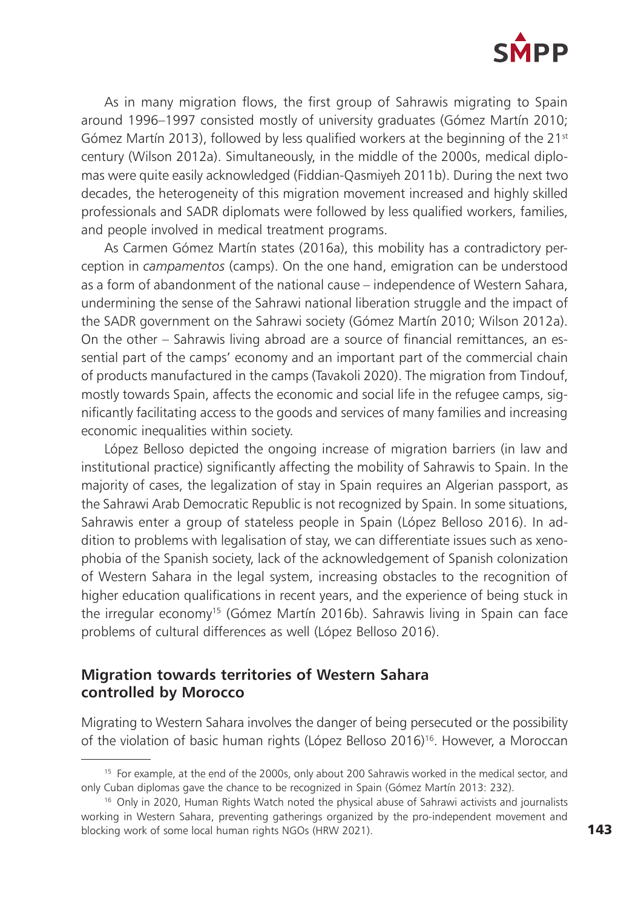

As in many migration flows, the first group of Sahrawis migrating to Spain around 1996–1997 consisted mostly of university graduates (Gómez Martín 2010; Gómez Martín 2013), followed by less qualified workers at the beginning of the  $21^{st}$ century (Wilson 2012a). Simultaneously, in the middle of the 2000s, medical diplomas were quite easily acknowledged (Fiddian-Qasmiyeh 2011b). During the next two decades, the heterogeneity of this migration movement increased and highly skilled professionals and SADR diplomats were followed by less qualified workers, families, and people involved in medical treatment programs.

As Carmen Gómez Martín states (2016a), this mobility has a contradictory perception in *campamentos* (camps). On the one hand, emigration can be understood as a form of abandonment of the national cause – independence of Western Sahara, undermining the sense of the Sahrawi national liberation struggle and the impact of the SADR government on the Sahrawi society (Gómez Martín 2010; Wilson 2012a). On the other – Sahrawis living abroad are a source of financial remittances, an essential part of the camps' economy and an important part of the commercial chain of products manufactured in the camps (Tavakoli 2020). The migration from Tindouf, mostly towards Spain, affects the economic and social life in the refugee camps, significantly facilitating access to the goods and services of many families and increasing economic inequalities within society.

López Belloso depicted the ongoing increase of migration barriers (in law and institutional practice) significantly affecting the mobility of Sahrawis to Spain. In the majority of cases, the legalization of stay in Spain requires an Algerian passport, as the Sahrawi Arab Democratic Republic is not recognized by Spain. In some situations, Sahrawis enter a group of stateless people in Spain (López Belloso 2016). In addition to problems with legalisation of stay, we can differentiate issues such as xenophobia of the Spanish society, lack of the acknowledgement of Spanish colonization of Western Sahara in the legal system, increasing obstacles to the recognition of higher education qualifications in recent years, and the experience of being stuck in the irregular economy15 (Gómez Martín 2016b). Sahrawis living in Spain can face problems of cultural differences as well (López Belloso 2016).

#### **Migration towards territories of Western Sahara controlled by Morocco**

Migrating to Western Sahara involves the danger of being persecuted or the possibility of the violation of basic human rights (López Belloso 2016)16. However, a Moroccan

<sup>&</sup>lt;sup>15</sup> For example, at the end of the 2000s, only about 200 Sahrawis worked in the medical sector, and only Cuban diplomas gave the chance to be recognized in Spain (Gómez Martín 2013: 232).

<sup>&</sup>lt;sup>16</sup> Only in 2020, Human Rights Watch noted the physical abuse of Sahrawi activists and journalists working in Western Sahara, preventing gatherings organized by the pro-independent movement and blocking work of some local human rights NGOs (HRW 2021).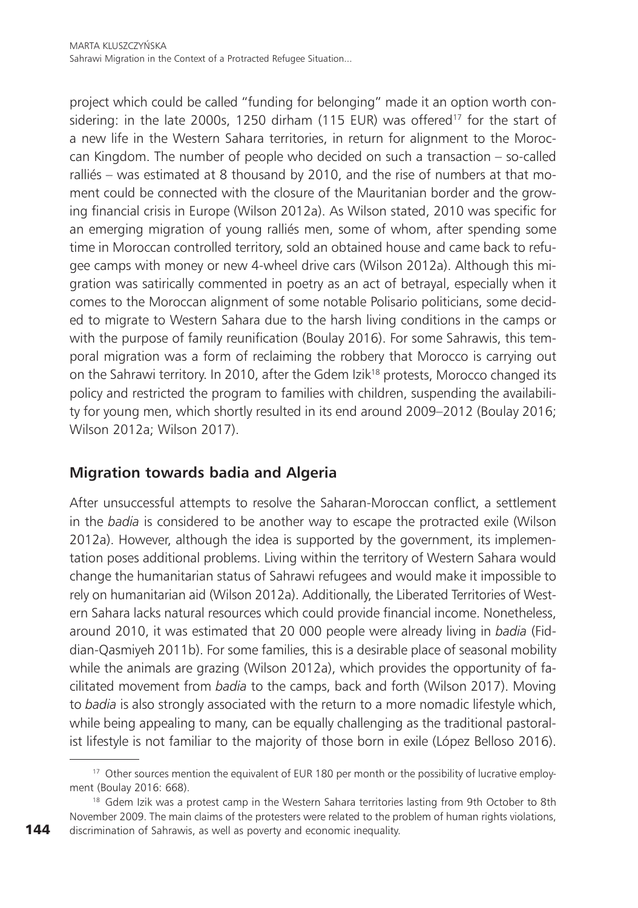project which could be called "funding for belonging" made it an option worth considering: in the late 2000s, 1250 dirham  $(115 \text{ EUR})$  was offered<sup>17</sup> for the start of a new life in the Western Sahara territories, in return for alignment to the Moroccan Kingdom. The number of people who decided on such a transaction – so-called ralliés – was estimated at 8 thousand by 2010, and the rise of numbers at that moment could be connected with the closure of the Mauritanian border and the growing financial crisis in Europe (Wilson 2012a). As Wilson stated, 2010 was specific for an emerging migration of young ralliés men, some of whom, after spending some time in Moroccan controlled territory, sold an obtained house and came back to refugee camps with money or new 4-wheel drive cars (Wilson 2012a). Although this migration was satirically commented in poetry as an act of betrayal, especially when it comes to the Moroccan alignment of some notable Polisario politicians, some decided to migrate to Western Sahara due to the harsh living conditions in the camps or with the purpose of family reunification (Boulay 2016). For some Sahrawis, this temporal migration was a form of reclaiming the robbery that Morocco is carrying out on the Sahrawi territory. In 2010, after the Gdem Izik<sup>18</sup> protests, Morocco changed its policy and restricted the program to families with children, suspending the availability for young men, which shortly resulted in its end around 2009–2012 (Boulay 2016; Wilson 2012a; Wilson 2017).

## **Migration towards badia and Algeria**

After unsuccessful attempts to resolve the Saharan-Moroccan conflict, a settlement in the *badia* is considered to be another way to escape the protracted exile (Wilson 2012a). However, although the idea is supported by the government, its implementation poses additional problems. Living within the territory of Western Sahara would change the humanitarian status of Sahrawi refugees and would make it impossible to rely on humanitarian aid (Wilson 2012a). Additionally, the Liberated Territories of Western Sahara lacks natural resources which could provide financial income. Nonetheless, around 2010, it was estimated that 20 000 people were already living in *badia* (Fiddian-Qasmiyeh 2011b). For some families, this is a desirable place of seasonal mobility while the animals are grazing (Wilson 2012a), which provides the opportunity of facilitated movement from *badia* to the camps, back and forth (Wilson 2017). Moving to *badia* is also strongly associated with the return to a more nomadic lifestyle which, while being appealing to many, can be equally challenging as the traditional pastoralist lifestyle is not familiar to the majority of those born in exile (López Belloso 2016).

<sup>&</sup>lt;sup>17</sup> Other sources mention the equivalent of EUR 180 per month or the possibility of lucrative employment (Boulay 2016: 668).

<sup>&</sup>lt;sup>18</sup> Gdem Izik was a protest camp in the Western Sahara territories lasting from 9th October to 8th November 2009. The main claims of the protesters were related to the problem of human rights violations, discrimination of Sahrawis, as well as poverty and economic inequality.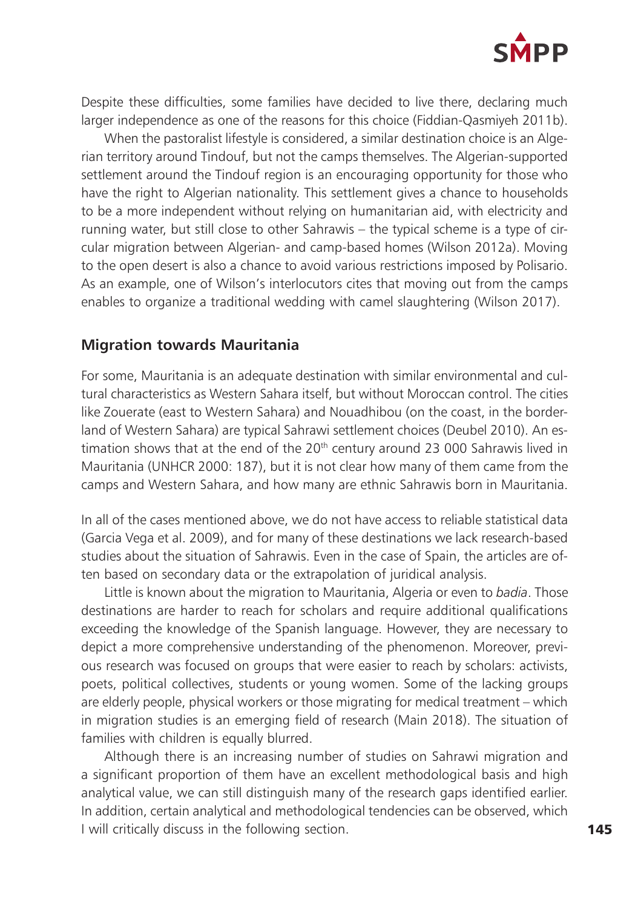

Despite these difficulties, some families have decided to live there, declaring much larger independence as one of the reasons for this choice (Fiddian-Qasmiyeh 2011b).

When the pastoralist lifestyle is considered, a similar destination choice is an Algerian territory around Tindouf, but not the camps themselves. The Algerian-supported settlement around the Tindouf region is an encouraging opportunity for those who have the right to Algerian nationality. This settlement gives a chance to households to be a more independent without relying on humanitarian aid, with electricity and running water, but still close to other Sahrawis – the typical scheme is a type of circular migration between Algerian- and camp-based homes (Wilson 2012a). Moving to the open desert is also a chance to avoid various restrictions imposed by Polisario. As an example, one of Wilson's interlocutors cites that moving out from the camps enables to organize a traditional wedding with camel slaughtering (Wilson 2017).

#### **Migration towards Mauritania**

For some, Mauritania is an adequate destination with similar environmental and cultural characteristics as Western Sahara itself, but without Moroccan control. The cities like Zouerate (east to Western Sahara) and Nouadhibou (on the coast, in the borderland of Western Sahara) are typical Sahrawi settlement choices (Deubel 2010). An estimation shows that at the end of the  $20<sup>th</sup>$  century around 23 000 Sahrawis lived in Mauritania (UNHCR 2000: 187), but it is not clear how many of them came from the camps and Western Sahara, and how many are ethnic Sahrawis born in Mauritania.

In all of the cases mentioned above, we do not have access to reliable statistical data (Garcia Vega et al. 2009), and for many of these destinations we lack research-based studies about the situation of Sahrawis. Even in the case of Spain, the articles are often based on secondary data or the extrapolation of juridical analysis.

Little is known about the migration to Mauritania, Algeria or even to *badia*. Those destinations are harder to reach for scholars and require additional qualifications exceeding the knowledge of the Spanish language. However, they are necessary to depict a more comprehensive understanding of the phenomenon. Moreover, previous research was focused on groups that were easier to reach by scholars: activists, poets, political collectives, students or young women. Some of the lacking groups are elderly people, physical workers or those migrating for medical treatment – which in migration studies is an emerging field of research (Main 2018). The situation of families with children is equally blurred.

Although there is an increasing number of studies on Sahrawi migration and a significant proportion of them have an excellent methodological basis and high analytical value, we can still distinguish many of the research gaps identified earlier. In addition, certain analytical and methodological tendencies can be observed, which I will critically discuss in the following section.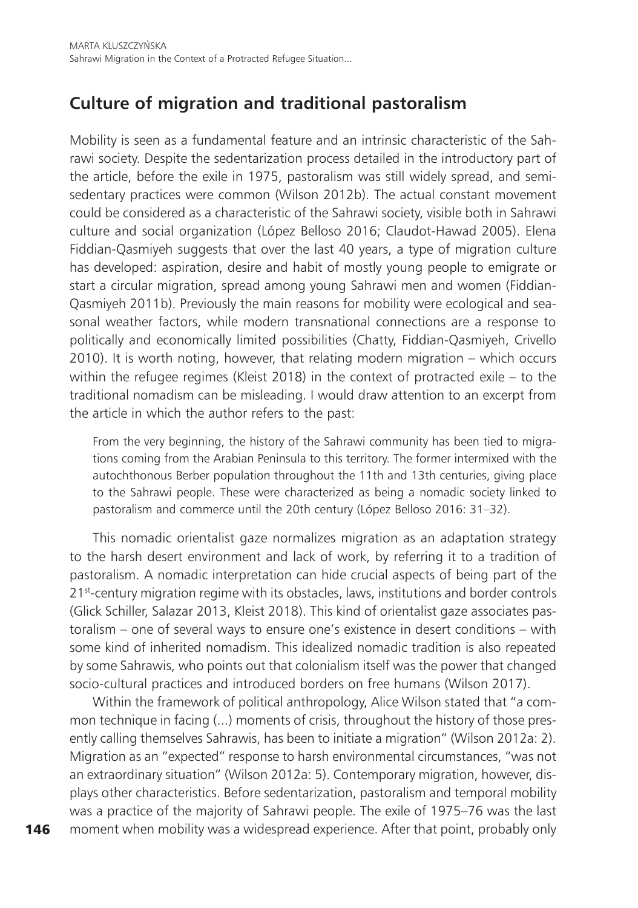# **Culture of migration and traditional pastoralism**

Mobility is seen as a fundamental feature and an intrinsic characteristic of the Sahrawi society. Despite the sedentarization process detailed in the introductory part of the article, before the exile in 1975, pastoralism was still widely spread, and semisedentary practices were common (Wilson 2012b). The actual constant movement could be considered as a characteristic of the Sahrawi society, visible both in Sahrawi culture and social organization (López Belloso 2016; Claudot-Hawad 2005). Elena Fiddian-Qasmiyeh suggests that over the last 40 years, a type of migration culture has developed: aspiration, desire and habit of mostly young people to emigrate or start a circular migration, spread among young Sahrawi men and women (Fiddian-Qasmiyeh 2011b). Previously the main reasons for mobility were ecological and seasonal weather factors, while modern transnational connections are a response to politically and economically limited possibilities (Chatty, Fiddian-Qasmiyeh, Crivello 2010). It is worth noting, however, that relating modern migration – which occurs within the refugee regimes (Kleist 2018) in the context of protracted exile – to the traditional nomadism can be misleading. I would draw attention to an excerpt from the article in which the author refers to the past:

From the very beginning, the history of the Sahrawi community has been tied to migrations coming from the Arabian Peninsula to this territory. The former intermixed with the autochthonous Berber population throughout the 11th and 13th centuries, giving place to the Sahrawi people. These were characterized as being a nomadic society linked to pastoralism and commerce until the 20th century (López Belloso 2016: 31–32).

This nomadic orientalist gaze normalizes migration as an adaptation strategy to the harsh desert environment and lack of work, by referring it to a tradition of pastoralism. A nomadic interpretation can hide crucial aspects of being part of the 21<sup>st</sup>-century migration regime with its obstacles, laws, institutions and border controls (Glick Schiller, Salazar 2013, Kleist 2018). This kind of orientalist gaze associates pastoralism – one of several ways to ensure one's existence in desert conditions – with some kind of inherited nomadism. This idealized nomadic tradition is also repeated by some Sahrawis, who points out that colonialism itself was the power that changed socio-cultural practices and introduced borders on free humans (Wilson 2017).

Within the framework of political anthropology, Alice Wilson stated that "a common technique in facing (...) moments of crisis, throughout the history of those presently calling themselves Sahrawis, has been to initiate a migration" (Wilson 2012a: 2). Migration as an "expected" response to harsh environmental circumstances, "was not an extraordinary situation" (Wilson 2012a: 5). Contemporary migration, however, displays other characteristics. Before sedentarization, pastoralism and temporal mobility was a practice of the majority of Sahrawi people. The exile of 1975–76 was the last moment when mobility was a widespread experience. After that point, probably only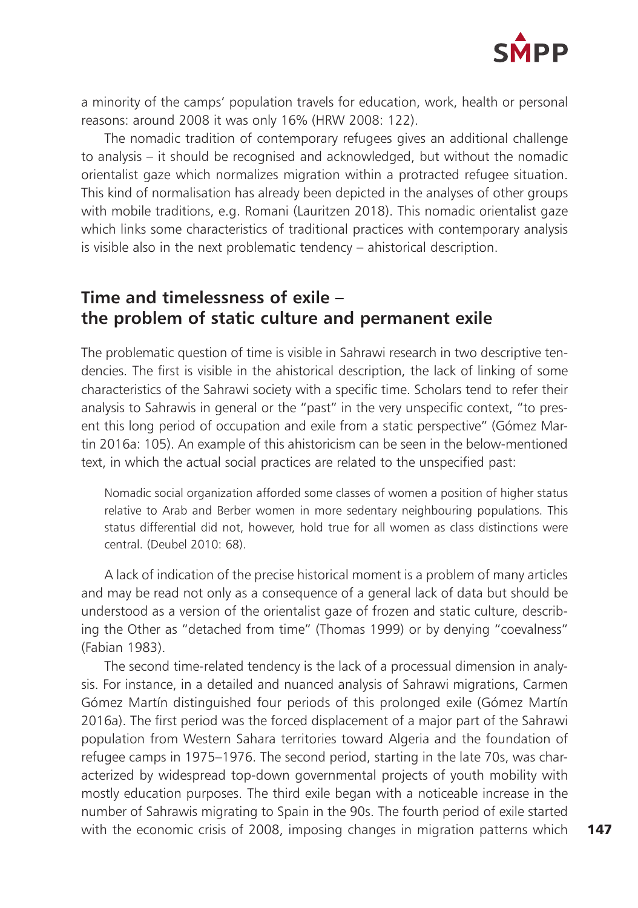

a minority of the camps' population travels for education, work, health or personal reasons: around 2008 it was only 16% (HRW 2008: 122).

The nomadic tradition of contemporary refugees gives an additional challenge to analysis – it should be recognised and acknowledged, but without the nomadic orientalist gaze which normalizes migration within a protracted refugee situation. This kind of normalisation has already been depicted in the analyses of other groups with mobile traditions, e.g. Romani (Lauritzen 2018). This nomadic orientalist gaze which links some characteristics of traditional practices with contemporary analysis is visible also in the next problematic tendency – ahistorical description.

# **Time and timelessness of exile – the problem of static culture and permanent exile**

The problematic question of time is visible in Sahrawi research in two descriptive tendencies. The first is visible in the ahistorical description, the lack of linking of some characteristics of the Sahrawi society with a specific time. Scholars tend to refer their analysis to Sahrawis in general or the "past" in the very unspecific context, "to present this long period of occupation and exile from a static perspective" (Gómez Martin 2016a: 105). An example of this ahistoricism can be seen in the below-mentioned text, in which the actual social practices are related to the unspecified past:

Nomadic social organization afforded some classes of women a position of higher status relative to Arab and Berber women in more sedentary neighbouring populations. This status differential did not, however, hold true for all women as class distinctions were central. (Deubel 2010: 68).

A lack of indication of the precise historical moment is a problem of many articles and may be read not only as a consequence of a general lack of data but should be understood as a version of the orientalist gaze of frozen and static culture, describing the Other as "detached from time" (Thomas 1999) or by denying "coevalness" (Fabian 1983).

The second time-related tendency is the lack of a processual dimension in analysis. For instance, in a detailed and nuanced analysis of Sahrawi migrations, Carmen Gómez Martín distinguished four periods of this prolonged exile (Gómez Martín 2016a). The first period was the forced displacement of a major part of the Sahrawi population from Western Sahara territories toward Algeria and the foundation of refugee camps in 1975–1976. The second period, starting in the late 70s, was characterized by widespread top-down governmental projects of youth mobility with mostly education purposes. The third exile began with a noticeable increase in the number of Sahrawis migrating to Spain in the 90s. The fourth period of exile started with the economic crisis of 2008, imposing changes in migration patterns which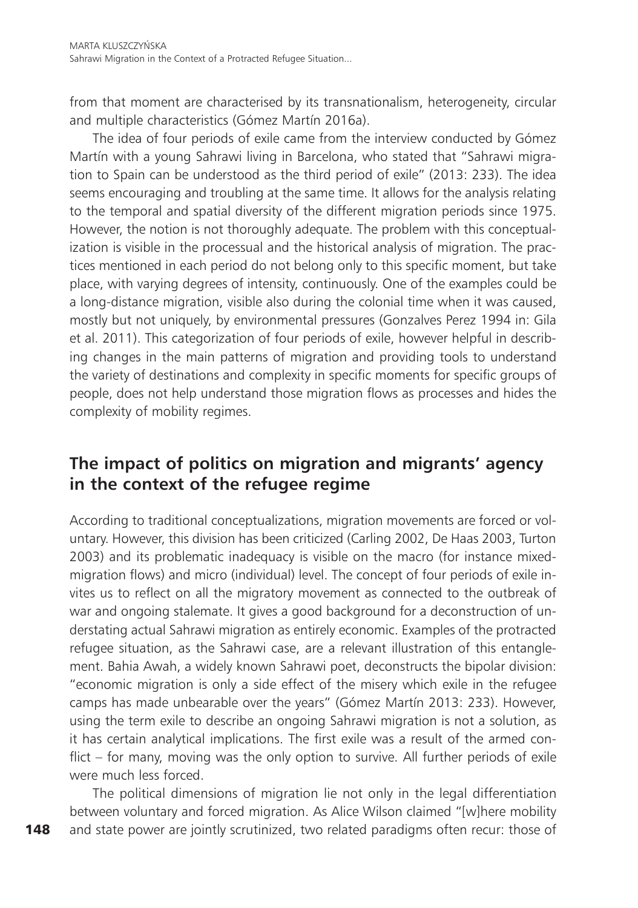from that moment are characterised by its transnationalism, heterogeneity, circular and multiple characteristics (Gómez Martín 2016a).

The idea of four periods of exile came from the interview conducted by Gómez Martín with a young Sahrawi living in Barcelona, who stated that "Sahrawi migration to Spain can be understood as the third period of exile" (2013: 233). The idea seems encouraging and troubling at the same time. It allows for the analysis relating to the temporal and spatial diversity of the different migration periods since 1975. However, the notion is not thoroughly adequate. The problem with this conceptualization is visible in the processual and the historical analysis of migration. The practices mentioned in each period do not belong only to this specific moment, but take place, with varying degrees of intensity, continuously. One of the examples could be a long-distance migration, visible also during the colonial time when it was caused, mostly but not uniquely, by environmental pressures (Gonzalves Perez 1994 in: Gila et al. 2011). This categorization of four periods of exile, however helpful in describing changes in the main patterns of migration and providing tools to understand the variety of destinations and complexity in specific moments for specific groups of people, does not help understand those migration flows as processes and hides the complexity of mobility regimes.

# **The impact of politics on migration and migrants' agency in the context of the refugee regime**

According to traditional conceptualizations, migration movements are forced or voluntary. However, this division has been criticized (Carling 2002, De Haas 2003, Turton 2003) and its problematic inadequacy is visible on the macro (for instance mixedmigration flows) and micro (individual) level. The concept of four periods of exile invites us to reflect on all the migratory movement as connected to the outbreak of war and ongoing stalemate. It gives a good background for a deconstruction of understating actual Sahrawi migration as entirely economic. Examples of the protracted refugee situation, as the Sahrawi case, are a relevant illustration of this entanglement. Bahia Awah, a widely known Sahrawi poet, deconstructs the bipolar division: "economic migration is only a side effect of the misery which exile in the refugee camps has made unbearable over the years" (Gómez Martín 2013: 233). However, using the term exile to describe an ongoing Sahrawi migration is not a solution, as it has certain analytical implications. The first exile was a result of the armed conflict – for many, moving was the only option to survive. All further periods of exile were much less forced.

The political dimensions of migration lie not only in the legal differentiation between voluntary and forced migration. As Alice Wilson claimed "[w]here mobility and state power are jointly scrutinized, two related paradigms often recur: those of

148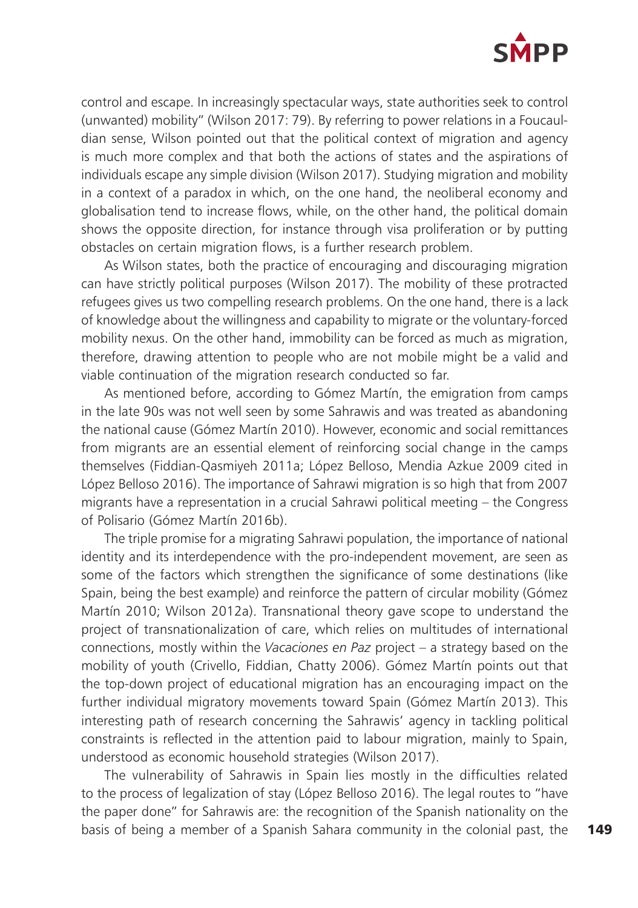

control and escape. In increasingly spectacular ways, state authorities seek to control (unwanted) mobility" (Wilson 2017: 79). By referring to power relations in a Foucauldian sense, Wilson pointed out that the political context of migration and agency is much more complex and that both the actions of states and the aspirations of individuals escape any simple division (Wilson 2017). Studying migration and mobility in a context of a paradox in which, on the one hand, the neoliberal economy and globalisation tend to increase flows, while, on the other hand, the political domain shows the opposite direction, for instance through visa proliferation or by putting obstacles on certain migration flows, is a further research problem.

As Wilson states, both the practice of encouraging and discouraging migration can have strictly political purposes (Wilson 2017). The mobility of these protracted refugees gives us two compelling research problems. On the one hand, there is a lack of knowledge about the willingness and capability to migrate or the voluntary-forced mobility nexus. On the other hand, immobility can be forced as much as migration, therefore, drawing attention to people who are not mobile might be a valid and viable continuation of the migration research conducted so far.

As mentioned before, according to Gómez Martín, the emigration from camps in the late 90s was not well seen by some Sahrawis and was treated as abandoning the national cause (Gómez Martín 2010). However, economic and social remittances from migrants are an essential element of reinforcing social change in the camps themselves (Fiddian-Qasmiyeh 2011a; López Belloso, Mendia Azkue 2009 cited in López Belloso 2016). The importance of Sahrawi migration is so high that from 2007 migrants have a representation in a crucial Sahrawi political meeting – the Congress of Polisario (Gómez Martín 2016b).

The triple promise for a migrating Sahrawi population, the importance of national identity and its interdependence with the pro-independent movement, are seen as some of the factors which strengthen the significance of some destinations (like Spain, being the best example) and reinforce the pattern of circular mobility (Gómez Martín 2010; Wilson 2012a). Transnational theory gave scope to understand the project of transnationalization of care, which relies on multitudes of international connections, mostly within the *Vacaciones en Paz* project – a strategy based on the mobility of youth (Crivello, Fiddian, Chatty 2006). Gómez Martín points out that the top-down project of educational migration has an encouraging impact on the further individual migratory movements toward Spain (Gómez Martín 2013). This interesting path of research concerning the Sahrawis' agency in tackling political constraints is reflected in the attention paid to labour migration, mainly to Spain, understood as economic household strategies (Wilson 2017).

The vulnerability of Sahrawis in Spain lies mostly in the difficulties related to the process of legalization of stay (López Belloso 2016). The legal routes to "have the paper done" for Sahrawis are: the recognition of the Spanish nationality on the basis of being a member of a Spanish Sahara community in the colonial past, the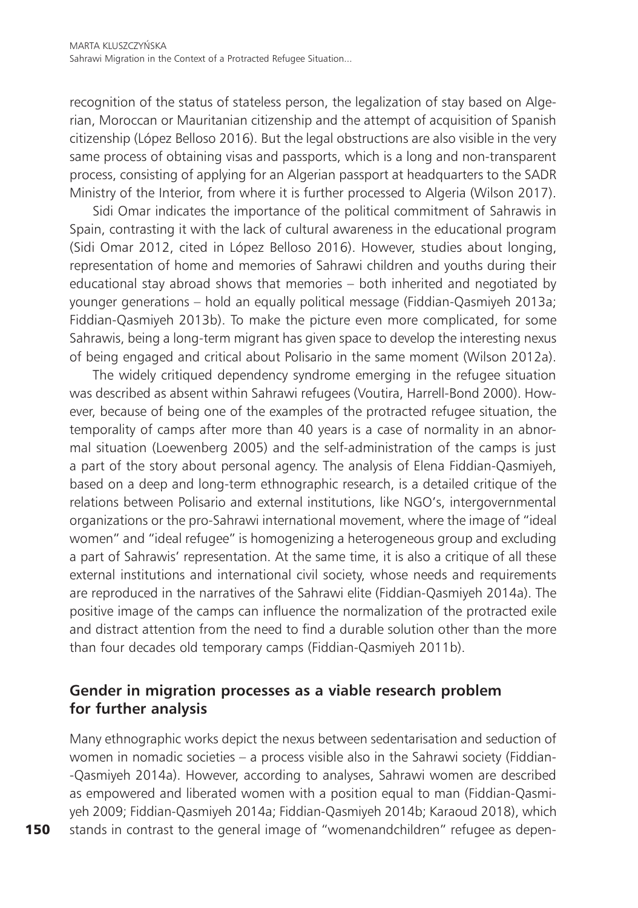recognition of the status of stateless person, the legalization of stay based on Algerian, Moroccan or Mauritanian citizenship and the attempt of acquisition of Spanish citizenship (López Belloso 2016). But the legal obstructions are also visible in the very same process of obtaining visas and passports, which is a long and non-transparent process, consisting of applying for an Algerian passport at headquarters to the SADR Ministry of the Interior, from where it is further processed to Algeria (Wilson 2017).

Sidi Omar indicates the importance of the political commitment of Sahrawis in Spain, contrasting it with the lack of cultural awareness in the educational program (Sidi Omar 2012, cited in López Belloso 2016). However, studies about longing, representation of home and memories of Sahrawi children and youths during their educational stay abroad shows that memories – both inherited and negotiated by younger generations – hold an equally political message (Fiddian-Qasmiyeh 2013a; Fiddian-Qasmiyeh 2013b). To make the picture even more complicated, for some Sahrawis, being a long-term migrant has given space to develop the interesting nexus of being engaged and critical about Polisario in the same moment (Wilson 2012a).

The widely critiqued dependency syndrome emerging in the refugee situation was described as absent within Sahrawi refugees (Voutira, Harrell-Bond 2000). However, because of being one of the examples of the protracted refugee situation, the temporality of camps after more than 40 years is a case of normality in an abnormal situation (Loewenberg 2005) and the self-administration of the camps is just a part of the story about personal agency. The analysis of Elena Fiddian-Qasmiyeh, based on a deep and long-term ethnographic research, is a detailed critique of the relations between Polisario and external institutions, like NGO's, intergovernmental organizations or the pro-Sahrawi international movement, where the image of "ideal women" and "ideal refugee" is homogenizing a heterogeneous group and excluding a part of Sahrawis' representation. At the same time, it is also a critique of all these external institutions and international civil society, whose needs and requirements are reproduced in the narratives of the Sahrawi elite (Fiddian-Qasmiyeh 2014a). The positive image of the camps can influence the normalization of the protracted exile and distract attention from the need to find a durable solution other than the more than four decades old temporary camps (Fiddian-Qasmiyeh 2011b).

### **Gender in migration processes as a viable research problem for further analysis**

Many ethnographic works depict the nexus between sedentarisation and seduction of women in nomadic societies – a process visible also in the Sahrawi society (Fiddian- -Qasmiyeh 2014a). However, according to analyses, Sahrawi women are described as empowered and liberated women with a position equal to man (Fiddian-Qasmiyeh 2009; Fiddian-Qasmiyeh 2014a; Fiddian-Qasmiyeh 2014b; Karaoud 2018), which stands in contrast to the general image of "womenandchildren" refugee as depen-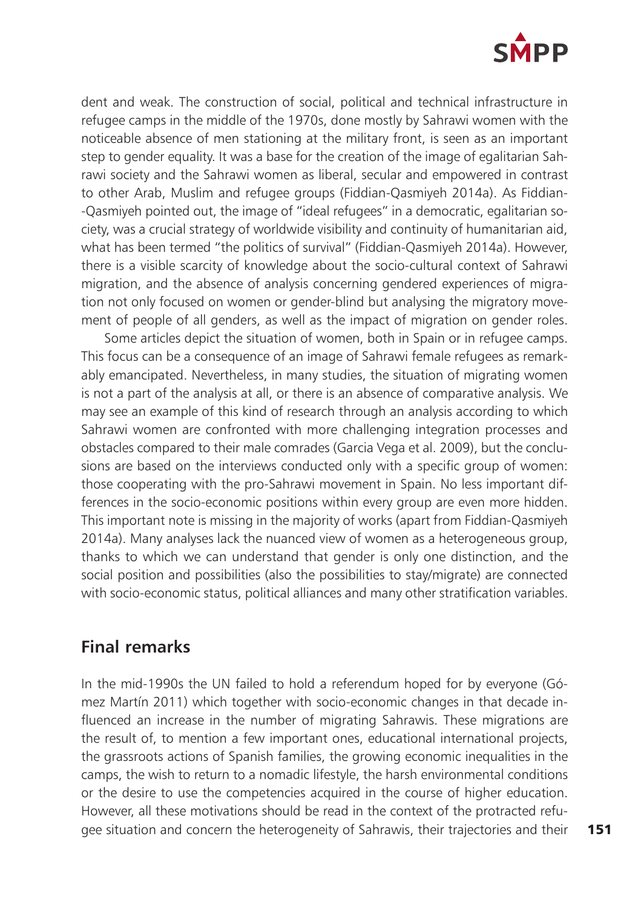

dent and weak. The construction of social, political and technical infrastructure in refugee camps in the middle of the 1970s, done mostly by Sahrawi women with the noticeable absence of men stationing at the military front, is seen as an important step to gender equality. It was a base for the creation of the image of egalitarian Sahrawi society and the Sahrawi women as liberal, secular and empowered in contrast to other Arab, Muslim and refugee groups (Fiddian-Qasmiyeh 2014a). As Fiddian- -Qasmiyeh pointed out, the image of "ideal refugees" in a democratic, egalitarian society, was a crucial strategy of worldwide visibility and continuity of humanitarian aid, what has been termed "the politics of survival" (Fiddian-Qasmiyeh 2014a). However, there is a visible scarcity of knowledge about the socio-cultural context of Sahrawi migration, and the absence of analysis concerning gendered experiences of migration not only focused on women or gender-blind but analysing the migratory movement of people of all genders, as well as the impact of migration on gender roles.

Some articles depict the situation of women, both in Spain or in refugee camps. This focus can be a consequence of an image of Sahrawi female refugees as remarkably emancipated. Nevertheless, in many studies, the situation of migrating women is not a part of the analysis at all, or there is an absence of comparative analysis. We may see an example of this kind of research through an analysis according to which Sahrawi women are confronted with more challenging integration processes and obstacles compared to their male comrades (Garcia Vega et al. 2009), but the conclusions are based on the interviews conducted only with a specific group of women: those cooperating with the pro-Sahrawi movement in Spain. No less important differences in the socio-economic positions within every group are even more hidden. This important note is missing in the majority of works (apart from Fiddian-Qasmiyeh 2014a). Many analyses lack the nuanced view of women as a heterogeneous group, thanks to which we can understand that gender is only one distinction, and the social position and possibilities (also the possibilities to stay/migrate) are connected with socio-economic status, political alliances and many other stratification variables.

## **Final remarks**

In the mid-1990s the UN failed to hold a referendum hoped for by everyone (Gómez Martín 2011) which together with socio-economic changes in that decade influenced an increase in the number of migrating Sahrawis. These migrations are the result of, to mention a few important ones, educational international projects, the grassroots actions of Spanish families, the growing economic inequalities in the camps, the wish to return to a nomadic lifestyle, the harsh environmental conditions or the desire to use the competencies acquired in the course of higher education. However, all these motivations should be read in the context of the protracted refugee situation and concern the heterogeneity of Sahrawis, their trajectories and their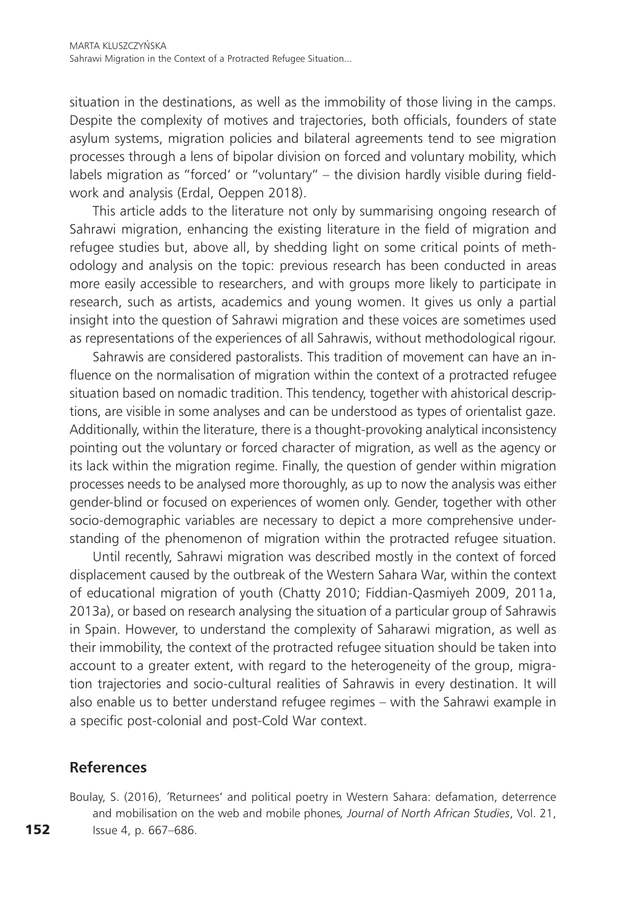situation in the destinations, as well as the immobility of those living in the camps. Despite the complexity of motives and trajectories, both officials, founders of state asylum systems, migration policies and bilateral agreements tend to see migration processes through a lens of bipolar division on forced and voluntary mobility, which labels migration as "forced' or "voluntary" – the division hardly visible during fieldwork and analysis (Erdal, Oeppen 2018).

This article adds to the literature not only by summarising ongoing research of Sahrawi migration, enhancing the existing literature in the field of migration and refugee studies but, above all, by shedding light on some critical points of methodology and analysis on the topic: previous research has been conducted in areas more easily accessible to researchers, and with groups more likely to participate in research, such as artists, academics and young women. It gives us only a partial insight into the question of Sahrawi migration and these voices are sometimes used as representations of the experiences of all Sahrawis, without methodological rigour.

Sahrawis are considered pastoralists. This tradition of movement can have an influence on the normalisation of migration within the context of a protracted refugee situation based on nomadic tradition. This tendency, together with ahistorical descriptions, are visible in some analyses and can be understood as types of orientalist gaze. Additionally, within the literature, there is a thought-provoking analytical inconsistency pointing out the voluntary or forced character of migration, as well as the agency or its lack within the migration regime. Finally, the question of gender within migration processes needs to be analysed more thoroughly, as up to now the analysis was either gender-blind or focused on experiences of women only. Gender, together with other socio-demographic variables are necessary to depict a more comprehensive understanding of the phenomenon of migration within the protracted refugee situation.

Until recently, Sahrawi migration was described mostly in the context of forced displacement caused by the outbreak of the Western Sahara War, within the context of educational migration of youth (Chatty 2010; Fiddian-Qasmiyeh 2009, 2011a, 2013a), or based on research analysing the situation of a particular group of Sahrawis in Spain. However, to understand the complexity of Saharawi migration, as well as their immobility, the context of the protracted refugee situation should be taken into account to a greater extent, with regard to the heterogeneity of the group, migration trajectories and socio-cultural realities of Sahrawis in every destination. It will also enable us to better understand refugee regimes – with the Sahrawi example in a specific post-colonial and post-Cold War context.

#### **References**

Boulay, S. (2016), *'*Returnees' and political poetry in Western Sahara: defamation, deterrence and mobilisation on the web and mobile phones*, Journal of North African Studies*, Vol. 21, Issue 4, p. 667–686.

152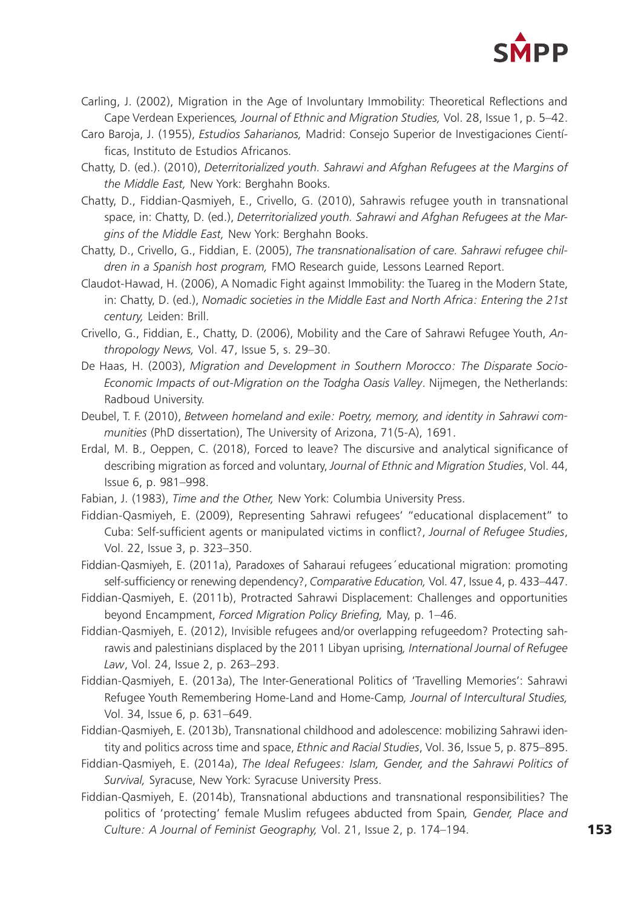

- Carling, J. (2002), Migration in the Age of Involuntary Immobility: Theoretical Reflections and Cape Verdean Experiences*, Journal of Ethnic and Migration Studies,* Vol. 28, Issue 1, p. 5–42.
- Caro Baroja, J. (1955), *Estudios Saharianos,* Madrid: Consejo Superior de Investigaciones Científicas, Instituto de Estudios Africanos.
- Chatty, D. (ed.). (2010), *Deterritorialized youth. Sahrawi and Afghan Refugees at the Margins of the Middle East,* New York: Berghahn Books.
- Chatty, D., Fiddian-Qasmiyeh, E., Crivello, G. (2010), Sahrawis refugee youth in transnational space, in: Chatty, D. (ed.), *Deterritorialized youth. Sahrawi and Afghan Refugees at the Margins of the Middle East,* New York: Berghahn Books.
- Chatty, D., Crivello, G., Fiddian, E. (2005), *The transnationalisation of care. Sahrawi refugee children in a Spanish host program,* FMO Research guide, Lessons Learned Report.
- Claudot-Hawad, H. (2006), A Nomadic Fight against Immobility: the Tuareg in the Modern State, in: Chatty, D. (ed.), *Nomadic societies in the Middle East and North Africa: Entering the 21st century,* Leiden: Brill.
- Crivello, G., Fiddian, E., Chatty, D. (2006), Mobility and the Care of Sahrawi Refugee Youth, *Anthropology News,* Vol. 47, Issue 5, s. 29–30.
- De Haas, H. (2003), *Migration and Development in Southern Morocco: The Disparate Socio-Economic Impacts of out-Migration on the Todgha Oasis Valley*. Nijmegen, the Netherlands: Radboud University.
- Deubel, T. F. (2010), *Between homeland and exile: Poetry, memory, and identity in Sahrawi communities* (PhD dissertation), The University of Arizona, 71(5-A), 1691.
- Erdal, M. B., Oeppen, C. (2018), Forced to leave? The discursive and analytical significance of describing migration as forced and voluntary, *Journal of Ethnic and Migration Studies*, Vol. 44, Issue 6, p. 981–998.
- Fabian, J. (1983), *Time and the Other,* New York: Columbia University Press.
- Fiddian-Qasmiyeh, E. (2009), Representing Sahrawi refugees' "educational displacement" to Cuba: Self-sufficient agents or manipulated victims in conflict?, *Journal of Refugee Studies*, Vol. 22, Issue 3, p. 323–350.
- Fiddian-Qasmiyeh, E. (2011a), Paradoxes of Saharaui refugees´educational migration: promoting self-sufficiency or renewing dependency?, *Comparative Education,* Vol. 47, Issue 4, p. 433–447.
- Fiddian-Qasmiyeh, E. (2011b), Protracted Sahrawi Displacement: Challenges and opportunities beyond Encampment, *Forced Migration Policy Briefing,* May, p. 1–46.
- Fiddian-Qasmiyeh, E. (2012), Invisible refugees and/or overlapping refugeedom? Protecting sahrawis and palestinians displaced by the 2011 Libyan uprising*, International Journal of Refugee Law*, Vol. 24, Issue 2, p. 263–293.
- Fiddian-Qasmiyeh, E. (2013a), The Inter-Generational Politics of 'Travelling Memories': Sahrawi Refugee Youth Remembering Home-Land and Home-Camp*, Journal of Intercultural Studies,*  Vol. 34, Issue 6, p. 631–649.
- Fiddian-Qasmiyeh, E. (2013b), Transnational childhood and adolescence: mobilizing Sahrawi identity and politics across time and space, *Ethnic and Racial Studies*, Vol. 36, Issue 5, p. 875–895.
- Fiddian-Qasmiyeh, E. (2014a), *The Ideal Refugees: Islam, Gender, and the Sahrawi Politics of Survival,* Syracuse, New York: Syracuse University Press.
- Fiddian-Qasmiyeh, E. (2014b), Transnational abductions and transnational responsibilities? The politics of 'protecting' female Muslim refugees abducted from Spain*, Gender, Place and Culture: A Journal of Feminist Geography,* Vol. 21, Issue 2, p. 174–194.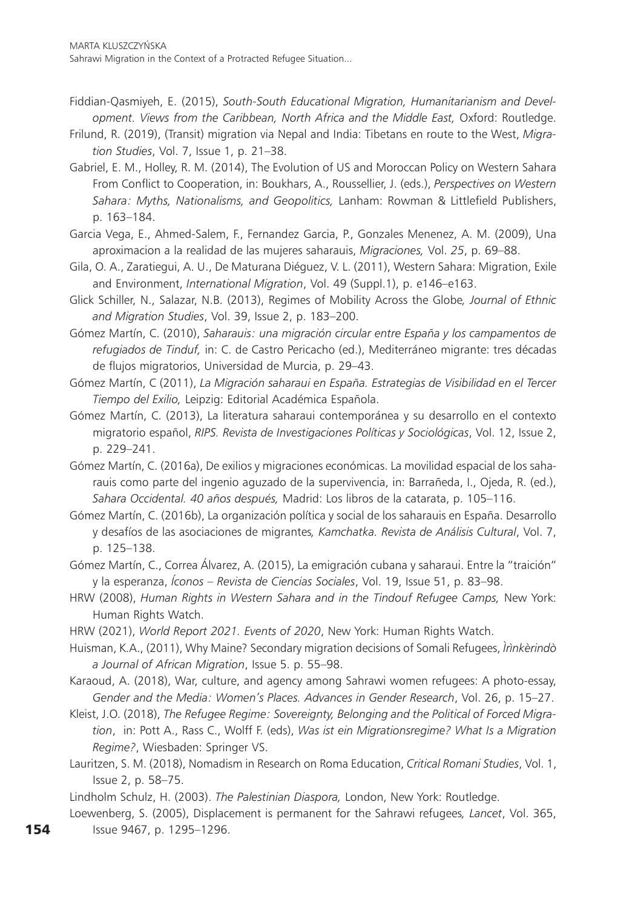- Fiddian-Qasmiyeh, E. (2015), *South-South Educational Migration, Humanitarianism and Development. Views from the Caribbean, North Africa and the Middle East,* Oxford: Routledge.
- Frilund, R. (2019), (Transit) migration via Nepal and India: Tibetans en route to the West, *Migration Studies*, Vol. 7, Issue 1, p. 21–38.
- Gabriel, E. M., Holley, R. M. (2014), The Evolution of US and Moroccan Policy on Western Sahara From Conflict to Cooperation, in: Boukhars, A., Roussellier, J. (eds.), *Perspectives on Western Sahara: Myths, Nationalisms, and Geopolitics,* Lanham: Rowman & Littlefield Publishers, p. 163–184.
- Garcia Vega, E., Ahmed-Salem, F., Fernandez Garcia, P., Gonzales Menenez, A. M. (2009), Una aproximacion a la realidad de las mujeres saharauis, *Migraciones,* Vol. *25*, p. 69–88.
- Gila, O. A., Zaratiegui, A. U., De Maturana Diéguez, V. L. (2011), Western Sahara: Migration, Exile and Environment, *International Migration*, Vol. 49 (Suppl.1), p. e146–e163.
- Glick Schiller, N., Salazar, N.B. (2013), Regimes of Mobility Across the Globe*, Journal of Ethnic and Migration Studies*, Vol. 39, Issue 2, p. 183–200.
- Gómez Martín, C. (2010), *Saharauis: una migración circular entre España y los campamentos de refugiados de Tinduf,* in: C. de Castro Pericacho (ed.), [Mediterráneo migrante:](https://dialnet.unirioja.es/servlet/libro?codigo=443438) tres décadas de flujos migratorios, Universidad de Murcia, p. 29–43.
- Gómez Martín, C (2011), *La Migración saharaui en España. Estrategias de Visibilidad en el Tercer Tiempo del Exilio,* Leipzig: Editorial Académica Española.
- Gómez Martín, C. (2013), La literatura saharaui contemporánea y su desarrollo en el contexto migratorio español, *RIPS. Revista de Investigaciones Políticas y Sociológicas*, Vol. 12, Issue 2, p. 229–241.
- Gómez Martín, C. (2016a), De exilios y migraciones económicas. La movilidad espacial de los saharauis como parte del ingenio aguzado de la supervivencia, in: Barrañeda, I., Ojeda, R. (ed.), *Sahara Occidental. 40 años después,* Madrid: Los libros de la catarata, p. 105–116.
- Gómez Martín, C. (2016b), La organización política y social de los saharauis en España. Desarrollo y desafíos de las asociaciones de migrantes*, Kamchatka. Revista de Análisis Cultural*, Vol. 7, p. 125–138.
- Gómez Martín, C., Correa Álvarez, A. (2015), La emigración cubana y saharaui. Entre la "traición" y la esperanza, *Íconos – Revista de Ciencias Sociales*, Vol. 19, Issue 51, p. 83–98.
- HRW (2008), *Human Rights in Western Sahara and in the Tindouf Refugee Camps*, New York: Human Rights Watch.
- HRW (2021), *World Report 2021. Events of 2020*, New York: Human Rights Watch.
- Huisman, K.A., (2011), Why Maine? Secondary migration decisions of Somali Refugees, *Ìrìnkèrindò a Journal of African Migration*, Issue 5. p. 55–98.
- Karaoud, A. (2018), War, culture, and agency among Sahrawi women refugees: A photo-essay, *Gender and the Media: Women's Places. Advances in Gender Research*, Vol. 26, p. 15–27.
- Kleist, J.O. (2018), *The Refugee Regime: Sovereignty, Belonging and the Political of Forced Migration*, in: Pott A., Rass C., Wolff F. (eds), *Was ist ein Migrationsregime? What Is a Migration Regime?*, Wiesbaden: Springer VS.
- Lauritzen, S. M. (2018), Nomadism in Research on Roma Education, *Critical Romani Studies*, Vol. 1, Issue 2, p. 58–75.
- Lindholm Schulz, H. (2003). *The Palestinian Diaspora,* London, New York: Routledge.
- Loewenberg, S. (2005), Displacement is permanent for the Sahrawi refugees*, Lancet*, Vol. 365,
- Issue 9467, p. 1295–1296.